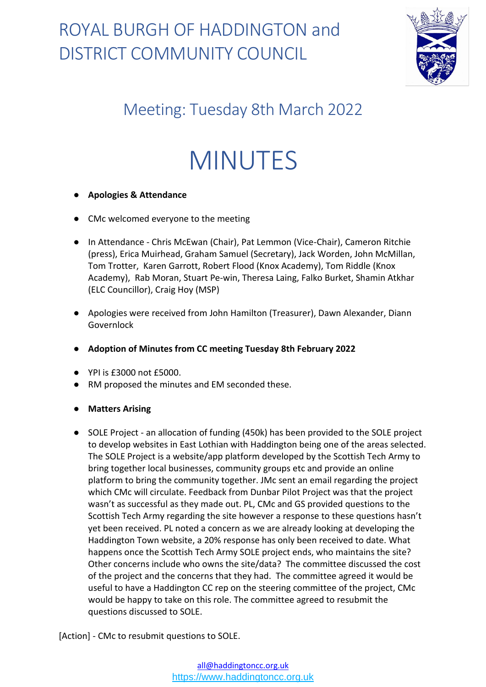

### Meeting: Tuesday 8th March 2022

# MINUTES

#### ● **Apologies & Attendance**

- CMc welcomed everyone to the meeting
- In Attendance Chris McEwan (Chair), Pat Lemmon (Vice-Chair), Cameron Ritchie (press), Erica Muirhead, Graham Samuel (Secretary), Jack Worden, John McMillan, Tom Trotter, Karen Garrott, Robert Flood (Knox Academy), Tom Riddle (Knox Academy), Rab Moran, Stuart Pe-win, Theresa Laing, Falko Burket, Shamin Atkhar (ELC Councillor), Craig Hoy (MSP)
- Apologies were received from John Hamilton (Treasurer), Dawn Alexander, Diann Governlock
- **Adoption of Minutes from CC meeting Tuesday 8th February 2022**
- YPI is £3000 not £5000.
- RM proposed the minutes and EM seconded these.
- **Matters Arising**
- SOLE Project an allocation of funding (450k) has been provided to the SOLE project to develop websites in East Lothian with Haddington being one of the areas selected. The SOLE Project is a website/app platform developed by the Scottish Tech Army to bring together local businesses, community groups etc and provide an online platform to bring the community together. JMc sent an email regarding the project which CMc will circulate. Feedback from Dunbar Pilot Project was that the project wasn't as successful as they made out. PL, CMc and GS provided questions to the Scottish Tech Army regarding the site however a response to these questions hasn't yet been received. PL noted a concern as we are already looking at developing the Haddington Town website, a 20% response has only been received to date. What happens once the Scottish Tech Army SOLE project ends, who maintains the site? Other concerns include who owns the site/data? The committee discussed the cost of the project and the concerns that they had. The committee agreed it would be useful to have a Haddington CC rep on the steering committee of the project, CMc would be happy to take on this role. The committee agreed to resubmit the questions discussed to SOLE.

[Action] - CMc to resubmit questions to SOLE.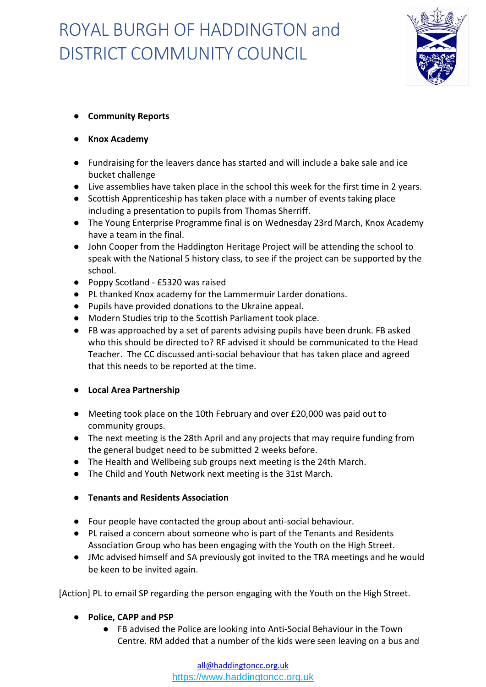

#### ● **Community Reports**

- **Knox Academy**
- Fundraising for the leavers dance has started and will include a bake sale and ice bucket challenge
- Live assemblies have taken place in the school this week for the first time in 2 years.
- Scottish Apprenticeship has taken place with a number of events taking place including a presentation to pupils from Thomas Sherriff.
- The Young Enterprise Programme final is on Wednesday 23rd March, Knox Academy have a team in the final.
- John Cooper from the Haddington Heritage Project will be attending the school to speak with the National 5 history class, to see if the project can be supported by the school.
- Poppy Scotland £5320 was raised
- PL thanked Knox academy for the Lammermuir Larder donations.
- Pupils have provided donations to the Ukraine appeal.
- Modern Studies trip to the Scottish Parliament took place.
- FB was approached by a set of parents advising pupils have been drunk. FB asked who this should be directed to? RF advised it should be communicated to the Head Teacher. The CC discussed anti-social behaviour that has taken place and agreed that this needs to be reported at the time.

#### ● **Local Area Partnership**

- Meeting took place on the 10th February and over £20,000 was paid out to community groups.
- The next meeting is the 28th April and any projects that may require funding from the general budget need to be submitted 2 weeks before.
- The Health and Wellbeing sub groups next meeting is the 24th March.
- The Child and Youth Network next meeting is the 31st March.

#### ● **Tenants and Residents Association**

- Four people have contacted the group about anti-social behaviour.
- PL raised a concern about someone who is part of the Tenants and Residents Association Group who has been engaging with the Youth on the High Street.
- JMc advised himself and SA previously got invited to the TRA meetings and he would be keen to be invited again.

[Action] PL to email SP regarding the person engaging with the Youth on the High Street.

- **Police, CAPP and PSP**
	- FB advised the Police are looking into Anti-Social Behaviour in the Town Centre. RM added that a number of the kids were seen leaving on a bus and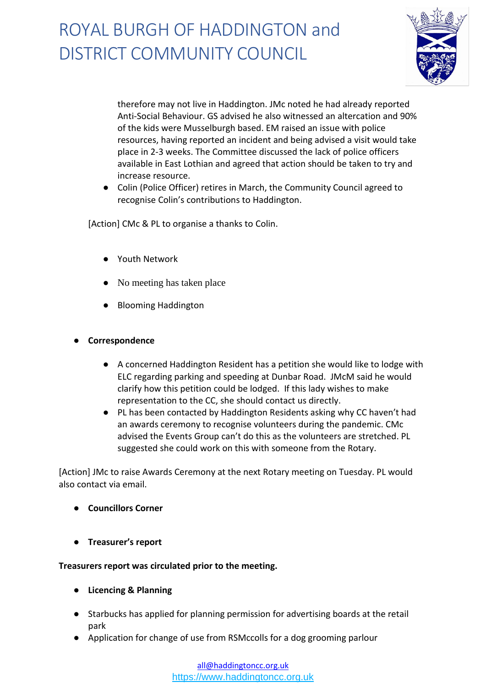

therefore may not live in Haddington. JMc noted he had already reported Anti-Social Behaviour. GS advised he also witnessed an altercation and 90% of the kids were Musselburgh based. EM raised an issue with police resources, having reported an incident and being advised a visit would take place in 2-3 weeks. The Committee discussed the lack of police officers available in East Lothian and agreed that action should be taken to try and increase resource.

● Colin (Police Officer) retires in March, the Community Council agreed to recognise Colin's contributions to Haddington.

[Action] CMc & PL to organise a thanks to Colin.

- Youth Network
- No meeting has taken place
- Blooming Haddington
- **Correspondence** 
	- A concerned Haddington Resident has a petition she would like to lodge with ELC regarding parking and speeding at Dunbar Road. JMcM said he would clarify how this petition could be lodged. If this lady wishes to make representation to the CC, she should contact us directly.
	- PL has been contacted by Haddington Residents asking why CC haven't had an awards ceremony to recognise volunteers during the pandemic. CMc advised the Events Group can't do this as the volunteers are stretched. PL suggested she could work on this with someone from the Rotary.

[Action] JMc to raise Awards Ceremony at the next Rotary meeting on Tuesday. PL would also contact via email.

- **Councillors Corner**
- **Treasurer's report**

#### **Treasurers report was circulated prior to the meeting.**

- **Licencing & Planning**
- Starbucks has applied for planning permission for advertising boards at the retail park
- Application for change of use from RSMccolls for a dog grooming parlour